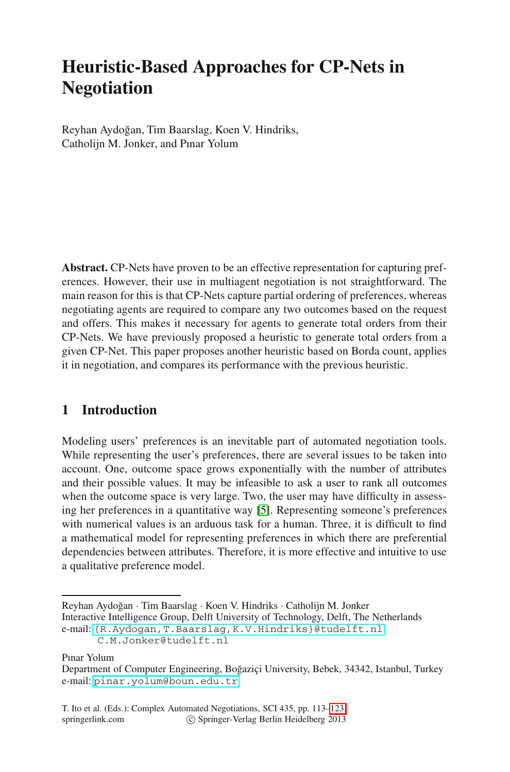# **Heuristic-Based Approaches for CP-Nets in Negotiation**

Reyhan Aydo˘gan, Tim Baarslag, Koen V. Hindriks, Catholijn M. Jonker, and Pınar Yolum

**Abstract.** CP-Nets have proven to be an effective representation for capturing preferences. However, their use in multiagent negotiation is not straightforward. The main reason for this is that CP-Nets capture partial ordering of preferences, whereas negotiating agents are required to compare any two outcomes based on the request and offers. This makes it necessary for agents to generate total orders from their CP-Nets. We have previously proposed a heuristic to generate total orders from a given CP-Net. This paper proposes another heuristic based on Borda count, applies it in negotiation, and compares its performance with the previous heuristic.

# **1 Introduction**

Modeling users' preferences is an inevitable part of automated negotiation tools. While representing the user's preferences, there are several issues to be taken into account. One, outcome space grows exponentially with the number of attributes and their possible values. It may be infeasible to ask a user to rank all outcomes when the outcome space is very large. Two, the user may have difficulty in assessing her preferences in a quantitative way [5]. Representing someone's preferences [with numerical values is an arduous task for a hu]({R.Aydogan,T.Baarslag,K.V.Hindriks}@tudelft.nl)man. Three, it is difficult to find a mathematical model for representing preferences in which there are preferential dependencies between attributes. Therefore, it is more effective and intuitive to use [a](pinar.yolum@boun.edu.tr) [qualitative](pinar.yolum@boun.edu.tr) [prefer](pinar.yolum@boun.edu.tr)ence model.

e-mail: {R.Aydogan, T.Baarslag, K.V.Hindriks}@tudelft.nl C.M.Jonker@tudelft.nl

Pınar Yolum

T. Ito et al. (Eds.): Complex Automated Negotiations, SCI 435, pp. 113–123. springerlink.com c Springer-Verlag Berlin Heidelberg 2013

Reyhan Aydoğan · Tim Baarslag · Koen V. [Hin](#page-10-0)driks · Catholijn M. Jonker

Interactive Intelligence Group, Delft University of Technology, Delft, The Netherlands

Department of Computer Engineering, Boğaziçi University, Bebek, 34342, Istanbul, Turkey e-mail: pinar.yolum@boun.edu.tr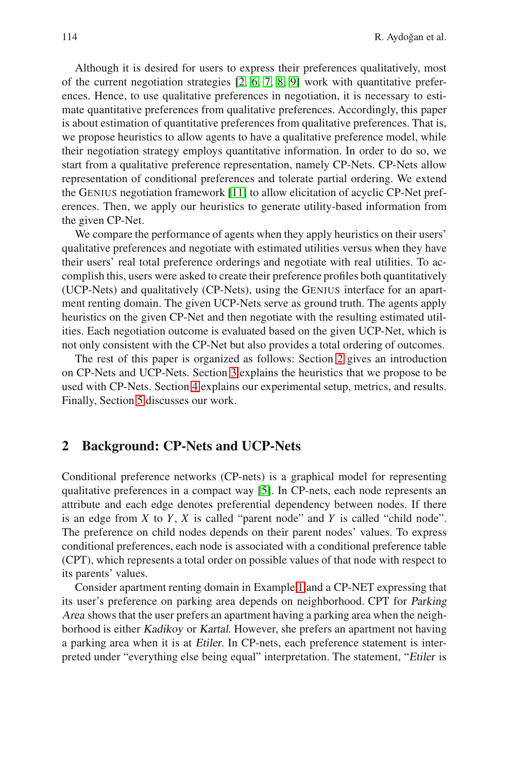Although it is desired for users to express their preferences qualitatively, most of the current negotiation strategies [2, 6, 7, 8, 9] work with quantitative preferences. Hence, to use qualitative preferences in negotiation, it is necessary to estimate quantitative preferences from qualitative preferences. Accordingly, this paper is about estimation of quantitative preferences from qualitative preferences. That is, we propose heuristics to allow agents to have a qualitative preference model, while their negotiation strategy employs quantitative information. In order to do so, we start from a qualitative preference representation, namely CP-Nets. CP-Nets allow representation of conditional preferences and tolerate partial ordering. We extend the GENIUS negotiation framework [11] to allow elicitation of acyclic CP-Net preferences. Then, we apply our heuristics to generate utility-based information from the given CP-Net.

We compare the performance of agents when they apply heuristics on their users' qualitative preferences and negotiate with estimated utilities versus when they have their users' real total preference orderings and negotiate with real utilities. To accomplish this, users were asked to create their preference profiles both quantitatively (UCP-Nets) and qualitatively (CP-Nets), using the GENIUS interface for an apartment renting domain. The given UCP-Nets serve as ground truth. The agents apply heuristics on the given CP-Net and then negotiate with the resulting estimated utilities. Each negotiation outcome is evaluated based on the given UCP-Net, which is not only consistent with the CP-Net but also provides a total ordering of outcomes.

The rest of this paper is organized as follows: Section 2 gives an introduction on CP-Nets and UCP-Nets. Section 3 explains the heuristics that we propose to be used with CP-Nets. Section 4 explains our experimental setup, metrics, and results. Finally, Section 5 discusses our work.

### **2 Background: CP-Nets and UCP-Nets**

Conditional preference networks (CP-nets) is a graphical model for representing qualitative preferences in a compact way [5]. In CP-nets, each node represents an attribute and each edge denotes preferential dependency between nodes. If there is an edge from *X* to *Y*, *X* is called "parent node" and *Y* is called "child node". The preference on child nodes depends on their parent nodes' values. To express conditional preferences, each node is associated with a conditional preference table (CPT), which represents a total order on possible values of that node with respect to its parents' values.

Consider apartment renting domain in Example 1 and a CP-NET expressing that its user's preference on parking area depends on neighborhood. CPT for Parking Area shows that the user prefers an apartment having a parking area when the neighborhood is either Kadikoy or Kartal. However, she prefers an apartment not having a parking area when it is at Etiler. In CP-nets, each preference statement is interpreted under "everything else being equal" interpretation. The statement, "Etiler is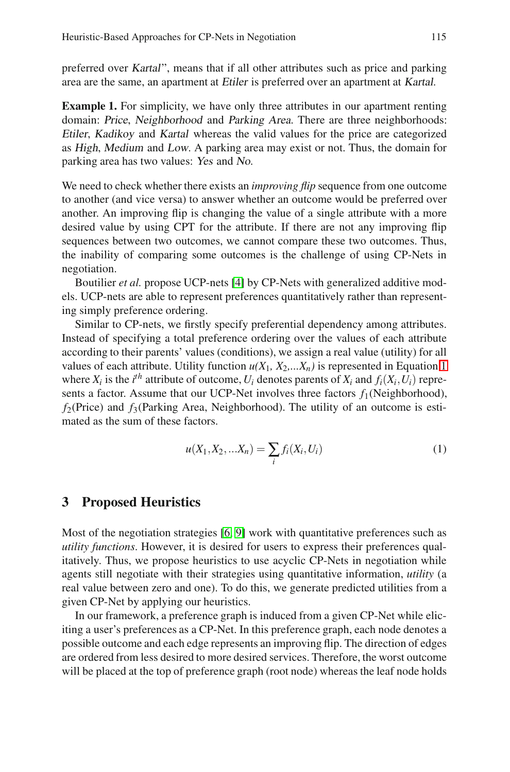preferred over Kartal", means that if all other attributes such as price and parking area are the same, an apartment at Etiler is preferred over an apartment at Kartal.

**Example 1.** For simplicity, we have only three attributes in our apartment renting domain: Price, Neighborhood and Parking Area. There are three neighborhoods: Etiler, Kadikoy and Kartal whereas the valid values for the price are categorized as High, Medium and Low. A parking area may exist or not. Thus, the domain for parking area has two values: Yes and No.

We need to check whether there exists an *improving flip* sequence from one outcome to another (and vice versa) to answer whether an outcome would be preferred over another. An improving flip is changing the value of a single attribute with a more desired value by using CPT for the attribute. If there are not any improving flip sequences between two outcomes, we cannot compare these two outcomes. Thus, the inability of comparing some outcomes is the challenge of using CP-Nets in negotiation.

Boutilier *et al.* propose UCP-nets [4] by CP-Nets with generalized additive models. UCP-nets are able to represent preferences quantitatively rather than representing simply preference ordering.

Similar to CP-nets, we firstly specify preferential dependency among attributes. Instead of specifying a total preference ordering over the values of each attribute according to their parents' values (conditions), we assign a real value (utility) for all values of each attribute. Utility function  $u(X_1, X_2,...X_n)$  is represented in Equation 1 where  $X_i$  is the *i*<sup>th</sup> attribute of outcome,  $U_i$  denotes parents of  $X_i$  and  $f_i(X_i, U_i)$  represents a factor. Assume that our UCP-Net involves three factors  $f_1$ (Neighborhood),  $f_2$ (Price) and  $f_3$ (Parking Area, Neighborhood). The utility of an outcome is estimated as the sum of these factors.

$$
u(X_1, X_2, ... X_n) = \sum_i f_i(X_i, U_i)
$$
 (1)

## **3 Proposed Heuristics**

Most of the negotiation strategies [6, 9] work with quantitative preferences such as *utility functions*. However, it is desired for users to express their preferences qualitatively. Thus, we propose heuristics to use acyclic CP-Nets in negotiation while agents still negotiate with their strategies using quantitative information, *utility* (a real value between zero and one). To do this, we generate predicted utilities from a given CP-Net by applying our heuristics.

In our framework, a preference graph is induced from a given CP-Net while eliciting a user's preferences as a CP-Net. In this preference graph, each node denotes a possible outcome and each edge represents an improving flip. The direction of edges are ordered from less desired to more desired services. Therefore, the worst outcome will be placed at the top of preference graph (root node) whereas the leaf node holds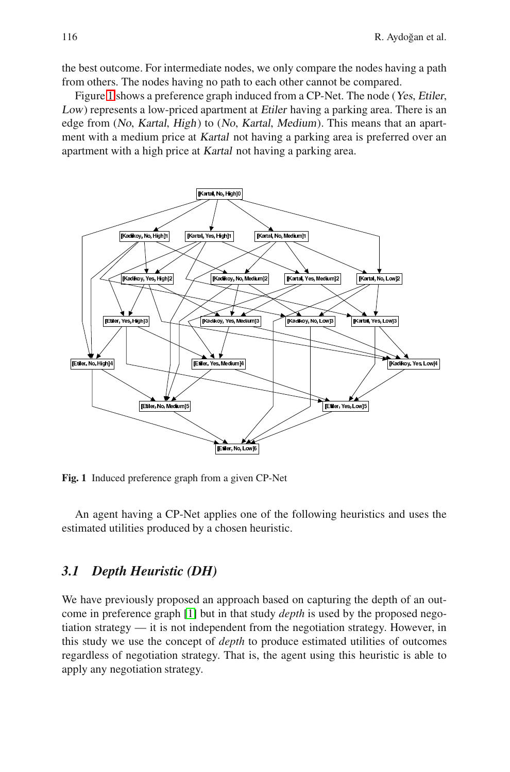the best outcome. For intermediate nodes, we only compare the nodes having a path from others. The nodes having no path to each other cannot be compared.

Figure 1 shows a preference graph induced from a CP-Net. The node (Yes, Etiler, Low) represents a low-priced apartment at Etiler having a parking area. There is an edge from (No, Kartal, High) to (No, Kartal, Medium). This means that an apartment with a medium price at Kartal not having a parking area is preferred over an apartment with a high price at Kartal not having a parking area.



**Fig. 1** Induced preference graph from a given CP-Net

An agent having a CP-Net applies one of the following heuristics and uses the estimated utilities produced by a chosen heuristic.

# *3.1 Depth Heuristic (DH)*

We have previously proposed an approach based on capturing the depth of an outcome in preference graph [1] but in that study *depth* is used by the proposed negotiation strategy — it is not independent from the negotiation strategy. However, in this study we use the concept of *depth* to produce estimated utilities of outcomes regardless of negotiation strategy. That is, the agent using this heuristic is able to apply any negotiation strategy.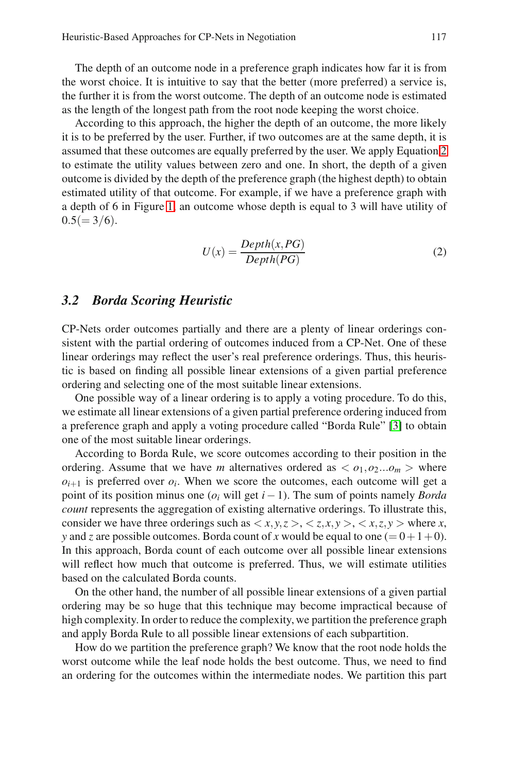Heuristic-Based Approaches for CP-Nets in Negotiation 117

The depth of an outcome node in a preference graph indicates how far it is from the worst choice. It is intuitive to say that the better (more preferred) a service is, the further it is from the worst outcome. The depth of an outcome node is estimated as the length of the longest path from the root node keeping the worst choice.

According to this approach, the higher the depth of an outcome, the more likely it is to be preferred by the user. Further, if two outcomes are at the same depth, it is assumed that these outcomes are equally preferred by the user. We apply Equation 2 to estimate the utility values between zero and one. In short, the depth of a given outcome is divided by the depth of the preference graph (the highest depth) to obtain estimated utility of that outcome. For example, if we have a preference graph with a depth of 6 in Figure 1, an outcome whose depth is equal to 3 will have utility of  $0.5(=3/6).$ 

$$
U(x) = \frac{Depth(x, PG)}{Depth(PG)}\tag{2}
$$

### *3.2 Borda Scoring Heuristic*

CP-Nets order outcomes partially and there are a plenty of linear orderings consistent with the partial ordering of outcomes induced from a CP-Net. One of these linear orderings may reflect the user's real preference orderings. Thus, this heuristic is based on finding all possible linear extensions of a given partial preference ordering and selecting one of the most suitable linear extensions.

One possible way of a linear ordering is to apply a voting procedure. To do this, we estimate all linear extensions of a given partial preference ordering induced from a preference graph and apply a voting procedure called "Borda Rule" [3] to obtain one of the most suitable linear orderings.

According to Borda Rule, we score outcomes according to their position in the ordering. Assume that we have *m* alternatives ordered as  $\langle o_1, o_2...o_m \rangle$  where  $o_{i+1}$  is preferred over  $o_i$ . When we score the outcomes, each outcome will get a point of its position minus one (*oi* will get *i*−1). The sum of points namely *Borda count* represents the aggregation of existing alternative orderings. To illustrate this, consider we have three orderings such as  $\langle x, y, z \rangle$ ,  $\langle z, x, y \rangle$ ,  $\langle x, z, y \rangle$  where *x*, *y* and *z* are possible outcomes. Borda count of *x* would be equal to one ( $= 0+1+0$ ). In this approach, Borda count of each outcome over all possible linear extensions will reflect how much that outcome is preferred. Thus, we will estimate utilities based on the calculated Borda counts.

On the other hand, the number of all possible linear extensions of a given partial ordering may be so huge that this technique may become impractical because of high complexity. In order to reduce the complexity, we partition the preference graph and apply Borda Rule to all possible linear extensions of each subpartition.

How do we partition the preference graph? We know that the root node holds the worst outcome while the leaf node holds the best outcome. Thus, we need to find an ordering for the outcomes within the intermediate nodes. We partition this part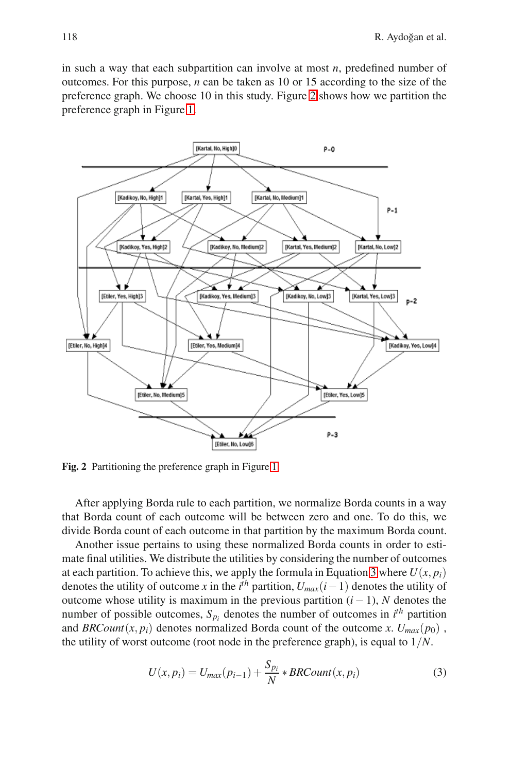in such a way that each subpartition can involve at most *n*, predefined number of outcomes. For this purpose, *n* can be taken as 10 or 15 according to the size of the preference graph. We choose 10 in this study. Figure 2 shows how we partition the preference graph in Figure 1.



**Fig. 2** Partitioning the preference graph in Figure 1

After applying Borda rule to each partition, we normalize Borda counts in a way that Borda count of each outcome will be between zero and one. To do this, we divide Borda count of each outcome in that partition by the maximum Borda count.

Another issue pertains to using these normalized Borda counts in order to estimate final utilities. We distribute the utilities by considering the number of outcomes at each partition. To achieve this, we apply the formula in Equation 3 where  $U(x, p_i)$ denotes the utility of outcome *x* in the  $i^{th}$  partition,  $U_{max}(i-1)$  denotes the utility of outcome whose utility is maximum in the previous partition  $(i - 1)$ , *N* denotes the number of possible outcomes,  $S_{p_i}$  denotes the number of outcomes in  $i^{th}$  partition and *BRCount*( $x$ ,  $p_i$ ) denotes normalized Borda count of the outcome  $x$ .  $U_{max}(p_0)$ , the utility of worst outcome (root node in the preference graph), is equal to 1/*N*.

$$
U(x, p_i) = U_{max}(p_{i-1}) + \frac{S_{p_i}}{N} * BRCount(x, p_i)
$$
\n(3)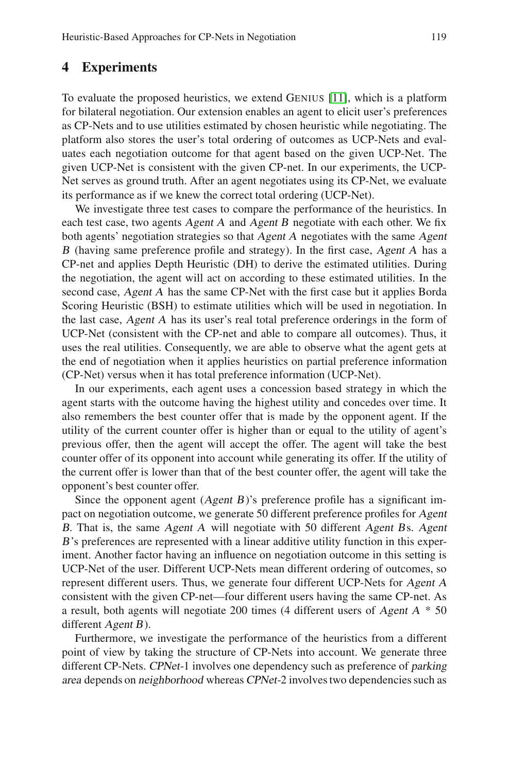## **4 Experiments**

To evaluate the proposed heuristics, we extend GENIUS [11], which is a platform for bilateral negotiation. Our extension enables an agent to elicit user's preferences as CP-Nets and to use utilities estimated by chosen heuristic while negotiating. The platform also stores the user's total ordering of outcomes as UCP-Nets and evaluates each negotiation outcome for that agent based on the given UCP-Net. The given UCP-Net is consistent with the given CP-net. In our experiments, the UCP-Net serves as ground truth. After an agent negotiates using its CP-Net, we evaluate its performance as if we knew the correct total ordering (UCP-Net).

We investigate three test cases to compare the performance of the heuristics. In each test case, two agents Agent <sup>A</sup> and Agent <sup>B</sup> negotiate with each other. We fix both agents' negotiation strategies so that Agent <sup>A</sup> negotiates with the same Agent <sup>B</sup> (having same preference profile and strategy). In the first case, Agent <sup>A</sup> has a CP-net and applies Depth Heuristic (DH) to derive the estimated utilities. During the negotiation, the agent will act on according to these estimated utilities. In the second case, Agent <sup>A</sup> has the same CP-Net with the first case but it applies Borda Scoring Heuristic (BSH) to estimate utilities which will be used in negotiation. In the last case, Agent <sup>A</sup> has its user's real total preference orderings in the form of UCP-Net (consistent with the CP-net and able to compare all outcomes). Thus, it uses the real utilities. Consequently, we are able to observe what the agent gets at the end of negotiation when it applies heuristics on partial preference information (CP-Net) versus when it has total preference information (UCP-Net).

In our experiments, each agent uses a concession based strategy in which the agent starts with the outcome having the highest utility and concedes over time. It also remembers the best counter offer that is made by the opponent agent. If the utility of the current counter offer is higher than or equal to the utility of agent's previous offer, then the agent will accept the offer. The agent will take the best counter offer of its opponent into account while generating its offer. If the utility of the current offer is lower than that of the best counter offer, the agent will take the opponent's best counter offer.

Since the opponent agent (Agent <sup>B</sup>)'s preference profile has a significant impact on negotiation outcome, we generate 50 different preference profiles for Agent <sup>B</sup>. That is, the same Agent <sup>A</sup> will negotiate with 50 different Agent <sup>B</sup>s. Agent B's preferences are represented with a linear additive utility function in this experiment. Another factor having an influence on negotiation outcome in this setting is UCP-Net of the user. Different UCP-Nets mean different ordering of outcomes, so represent different users. Thus, we generate four different UCP-Nets for Agent <sup>A</sup> consistent with the given CP-net—four different users having the same CP-net. As a result, both agents will negotiate 200 times (4 different users of Agent  $A * 50$ different Agent B).

Furthermore, we investigate the performance of the heuristics from a different point of view by taking the structure of CP-Nets into account. We generate three different CP-Nets. CPNet-1 involves one dependency such as preference of parking area depends on neighborhood whereas CPNet-2 involves two dependencies such as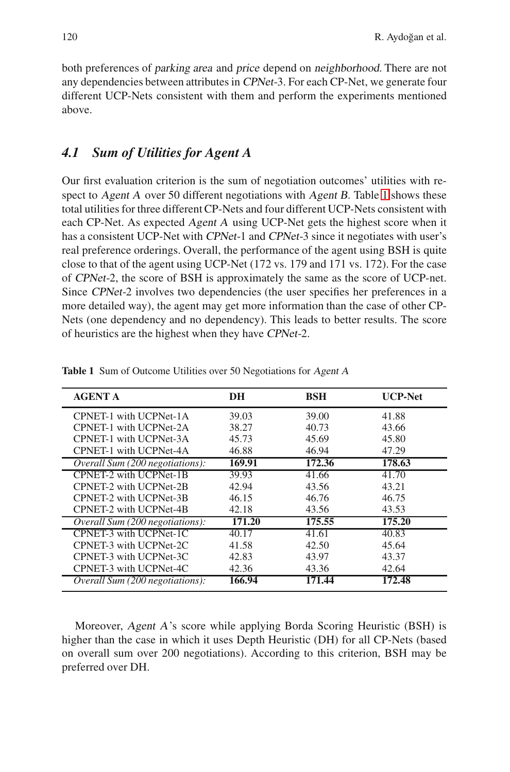both preferences of parking area and price depend on neighborhood. There are not any dependencies between attributes in CPNet-3. For each CP-Net, we generate four different UCP-Nets consistent with them and perform the experiments mentioned above.

# *4.1 Sum of Utilities for Agent A*

Our first evaluation criterion is the sum of negotiation outcomes' utilities with respect to Agent A over 50 different negotiations with Agent B. Table 1 shows these total utilities for three different CP-Nets and four different UCP-Nets consistent with each CP-Net. As expected Agent <sup>A</sup> using UCP-Net gets the highest score when it has a consistent UCP-Net with CPNet-1 and CPNet-3 since it negotiates with user's real preference orderings. Overall, the performance of the agent using BSH is quite close to that of the agent using UCP-Net (172 vs. 179 and 171 vs. 172). For the case of CPNet-2, the score of BSH is approximately the same as the score of UCP-net. Since CPNet-2 involves two dependencies (the user specifies her preferences in a more detailed way), the agent may get more information than the case of other CP-Nets (one dependency and no dependency). This leads to better results. The score of heuristics are the highest when they have CPNet-2.

| <b>AGENT A</b>                  | DH     | <b>BSH</b> | <b>UCP-Net</b> |
|---------------------------------|--------|------------|----------------|
| CPNET-1 with UCPNet-1A          | 39.03  | 39.00      | 41.88          |
| CPNET-1 with UCPNet-2A          | 38.27  | 40.73      | 43.66          |
| CPNET-1 with UCPNet-3A          | 45.73  | 45.69      | 45.80          |
| CPNET-1 with UCPNet-4A          | 46.88  | 46.94      | 47.29          |
| Overall Sum (200 negotiations): | 169.91 | 172.36     | 178.63         |
| CPNET-2 with UCPNet-1B          | 39.93  | 41.66      | 41.70          |
| CPNET-2 with UCPNet-2B          | 42.94  | 43.56      | 43.21          |
| CPNET-2 with UCPNet-3B          | 46.15  | 46.76      | 46.75          |
| CPNET-2 with UCPNet-4B          | 42.18  | 43.56      | 43.53          |
| Overall Sum (200 negotiations): | 171.20 | 175.55     | 175.20         |
| CPNET-3 with UCPNet-1C          | 40.17  | 41.61      | 40.83          |
| CPNET-3 with UCPNet-2C          | 41.58  | 42.50      | 45.64          |
| CPNET-3 with UCPNet-3C          | 42.83  | 43.97      | 43.37          |
| CPNET-3 with UCPNet-4C          | 42.36  | 43.36      | 42.64          |
| Overall Sum (200 negotiations): | 166.94 | 171.44     | 172.48         |

Table 1 Sum of Outcome Utilities over 50 Negotiations for Agent A

Moreover, Agent <sup>A</sup>'s score while applying Borda Scoring Heuristic (BSH) is higher than the case in which it uses Depth Heuristic (DH) for all CP-Nets (based on overall sum over 200 negotiations). According to this criterion, BSH may be preferred over DH.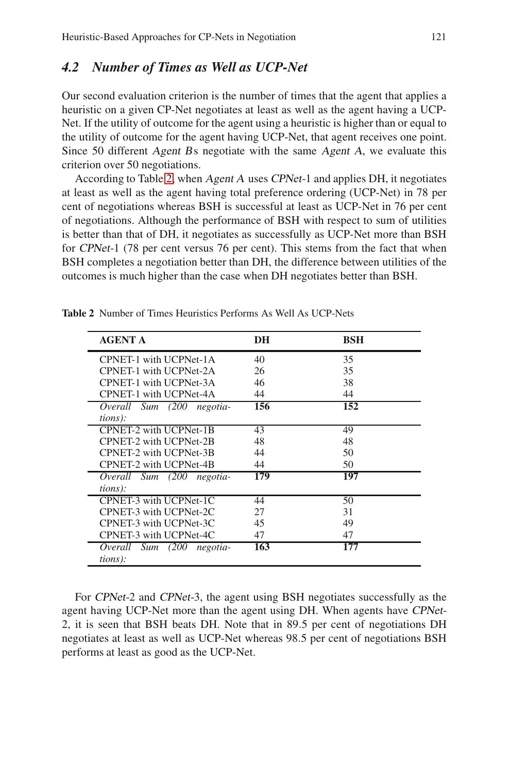# *4.2 Number of Times as Well as UCP-Net*

Our second evaluation criterion is the number of times that the agent that applies a heuristic on a given CP-Net negotiates at least as well as the agent having a UCP-Net. If the utility of outcome for the agent using a heuristic is higher than or equal to the utility of outcome for the agent having UCP-Net, that agent receives one point. Since 50 different Agent <sup>B</sup>s negotiate with the same Agent <sup>A</sup>, we evaluate this criterion over 50 negotiations.

According to Table 2, when Agent <sup>A</sup> uses CPNet-1 and applies DH, it negotiates at least as well as the agent having total preference ordering (UCP-Net) in 78 per cent of negotiations whereas BSH is successful at least as UCP-Net in 76 per cent of negotiations. Although the performance of BSH with respect to sum of utilities is better than that of DH, it negotiates as successfully as UCP-Net more than BSH for CPNet-1 (78 per cent versus 76 per cent). This stems from the fact that when BSH completes a negotiation better than DH, the difference between utilities of the outcomes is much higher than the case when DH negotiates better than BSH.

| <b>AGENT A</b>                                 | DН  | BSH |
|------------------------------------------------|-----|-----|
| CPNET-1 with UCPNet-1A                         | 40  | 35  |
| CPNET-1 with UCPNet-2A                         | 26  | 35  |
| CPNET-1 with UCPNet-3A                         | 46  | 38  |
| CPNET-1 with UCPNet-4A                         | 44  | 44  |
| Overall<br>Sum (200<br>negotia-                | 156 | 152 |
| tions):                                        |     |     |
| CPNET-2 with UCPNet-1B                         | 43  | 49  |
| CPNET-2 with UCPNet-2B                         | 48  | 48  |
| CPNET-2 with UCPNet-3B                         | 44  | 50  |
| CPNET-2 with UCPNet-4B                         | 44  | 50  |
| Sum<br>(200)<br>Overall<br>negotia-            | 179 | 197 |
| tions):                                        |     |     |
| CPNET-3 with UCPNet-1C                         | 44  | 50  |
| CPNET-3 with UCPNet-2C                         | 27  | 31  |
| CPNET-3 with UCPNet-3C                         | 45  | 49  |
| CPNET-3 with UCPNet-4C                         | 47  | 47  |
| (200)<br>Overall<br>Sum<br>negotia-<br>tions): | 163 | 177 |

**Table 2** Number of Times Heuristics Performs As Well As UCP-Nets

For CPNet-2 and CPNet-3, the agent using BSH negotiates successfully as the agent having UCP-Net more than the agent using DH. When agents have CPNet-2, it is seen that BSH beats DH. Note that in 89.5 per cent of negotiations DH negotiates at least as well as UCP-Net whereas 98.5 per cent of negotiations BSH performs at least as good as the UCP-Net.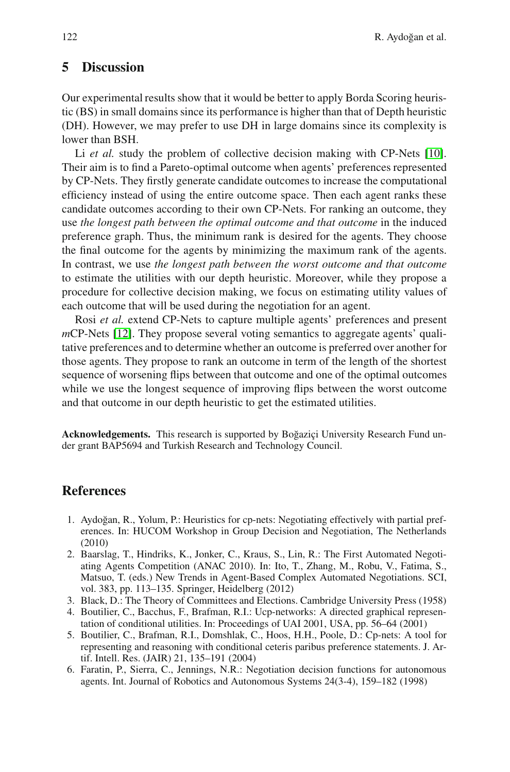## **5 Discussion**

Our experimental results show that it would be better to apply Borda Scoring heuristic (BS) in small domains since its performance is higher than that of Depth heuristic (DH). However, we may prefer to use DH in large domains since its complexity is lower than BSH.

Li *et al.* study the problem of collective decision making with CP-Nets [10]. Their aim is to find a Pareto-optimal outcome when agents' preferences represented by CP-Nets. They firstly generate candidate outcomes to increase the computational efficiency instead of using the entire outcome space. Then each agent ranks these candidate outcomes according to their own CP-Nets. For ranking an outcome, they use *the longest path between the optimal outcome and that outcome* in the induced preference graph. Thus, the minimum rank is desired for the agents. They choose the final outcome for the agents by minimizing the maximum rank of the agents. In contrast, we use *the longest path between the worst outcome and that outcome* to estimate the utilities with our depth heuristic. Moreover, while they propose a procedure for collective decision making, we focus on estimating utility values of each outcome that will be used during the negotiation for an agent.

Rosi *et al.* extend CP-Nets to capture multiple agents' preferences and present *m*CP-Nets [12]. They propose several voting semantics to aggregate agents' qualitative preferences and to determine whether an outcome is preferred over another for those agents. They propose to rank an outcome in term of the length of the shortest sequence of worsening flips between that outcome and one of the optimal outcomes while we use the longest sequence of improving flips between the worst outcome and that outcome in our depth heuristic to get the estimated utilities.

**Acknowledgements.** This research is supported by Boğazici University Research Fund under grant BAP5694 and Turkish Research and Technology Council.

#### **References**

- 1. Aydo˘gan, R., Yolum, P.: Heuristics for cp-nets: Negotiating effectively with partial preferences. In: HUCOM Workshop in Group Decision and Negotiation, The Netherlands (2010)
- 2. Baarslag, T., Hindriks, K., Jonker, C., Kraus, S., Lin, R.: The First Automated Negotiating Agents Competition (ANAC 2010). In: Ito, T., Zhang, M., Robu, V., Fatima, S., Matsuo, T. (eds.) New Trends in Agent-Based Complex Automated Negotiations. SCI, vol. 383, pp. 113–135. Springer, Heidelberg (2012)
- 3. Black, D.: The Theory of Committees and Elections. Cambridge University Press (1958) 4. Boutilier, C., Bacchus, F., Brafman, R.I.: Ucp-networks: A directed graphical represen-
- tation of conditional utilities. In: Proceedings of UAI 2001, USA, pp. 56–64 (2001) 5. Boutilier, C., Brafman, R.I., Domshlak, C., Hoos, H.H., Poole, D.: Cp-nets: A tool for
- representing and reasoning with conditional ceteris paribus preference statements. J. Artif. Intell. Res. (JAIR) 21, 135–191 (2004)
- 6. Faratin, P., Sierra, C., Jennings, N.R.: Negotiation decision functions for autonomous agents. Int. Journal of Robotics and Autonomous Systems 24(3-4), 159–182 (1998)